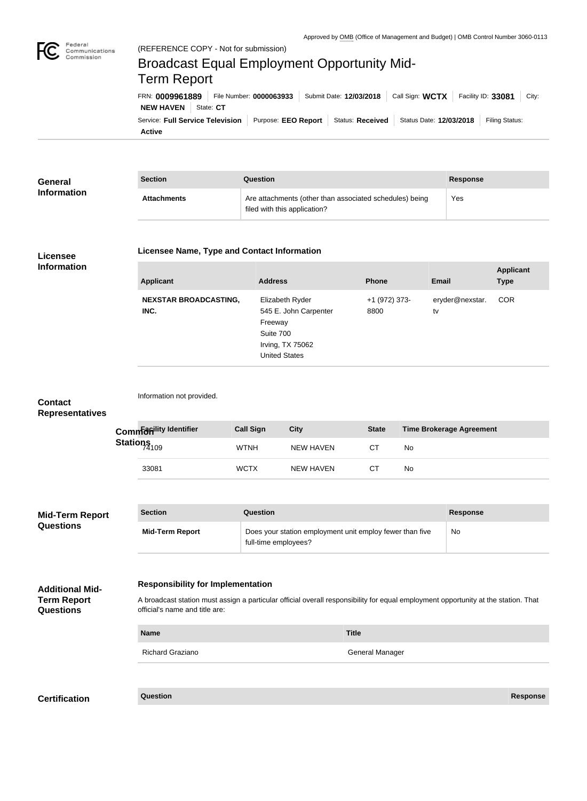

## Service: Full Service Television | Purpose: EEO Report | Status: Received | Status Date: 12/03/2018 | Filing Status: **NEW HAVEN** State: CT FRN: **0009961889** File Number: **0000063933** Submit Date: **12/03/2018** Call Sign: **WCTX** Facility ID: **33081** City: (REFERENCE COPY - Not for submission) Broadcast Equal Employment Opportunity Mid-Term Report

**Active**

| <b>General</b>     | <b>Section</b>     | Question                                                                                | <b>Response</b> |
|--------------------|--------------------|-----------------------------------------------------------------------------------------|-----------------|
| <b>Information</b> | <b>Attachments</b> | Are attachments (other than associated schedules) being<br>filed with this application? | Yes             |

## **Licensee Information**

## **Licensee Name, Type and Contact Information**

| <b>Applicant</b>                     | <b>Address</b>                                                                                               | <b>Phone</b>          | <b>Email</b>          | <b>Applicant</b><br><b>Type</b> |
|--------------------------------------|--------------------------------------------------------------------------------------------------------------|-----------------------|-----------------------|---------------------------------|
| <b>NEXSTAR BROADCASTING,</b><br>INC. | Elizabeth Ryder<br>545 E. John Carpenter<br>Freeway<br>Suite 700<br>Irving, TX 75062<br><b>United States</b> | +1 (972) 373-<br>8800 | eryder@nexstar.<br>tv | <b>COR</b>                      |

| <b>Contact</b><br><b>Representatives</b>     |                                                                                                                                                                                | Information not provided.                                                                                  |                  |                  |                        |           |                                 |                 |
|----------------------------------------------|--------------------------------------------------------------------------------------------------------------------------------------------------------------------------------|------------------------------------------------------------------------------------------------------------|------------------|------------------|------------------------|-----------|---------------------------------|-----------------|
|                                              |                                                                                                                                                                                | Commentity Identifier                                                                                      | <b>Call Sign</b> | <b>City</b>      | <b>State</b>           |           | <b>Time Brokerage Agreement</b> |                 |
|                                              |                                                                                                                                                                                | Stations <sub>74109</sub>                                                                                  | <b>WTNH</b>      | <b>NEW HAVEN</b> | <b>CT</b>              | No        |                                 |                 |
|                                              |                                                                                                                                                                                | 33081                                                                                                      | <b>WCTX</b>      | <b>NEW HAVEN</b> | <b>CT</b>              | No        |                                 |                 |
|                                              |                                                                                                                                                                                |                                                                                                            |                  |                  |                        |           |                                 |                 |
| <b>Mid-Term Report</b>                       |                                                                                                                                                                                | <b>Section</b>                                                                                             | Question         |                  |                        |           | <b>Response</b>                 |                 |
| <b>Questions</b>                             |                                                                                                                                                                                | Does your station employment unit employ fewer than five<br><b>Mid-Term Report</b><br>full-time employees? |                  |                  |                        | <b>No</b> |                                 |                 |
| <b>Additional Mid-</b><br><b>Term Report</b> | <b>Responsibility for Implementation</b><br>A broadcast station must assign a particular official overall responsibility for equal employment opportunity at the station. That |                                                                                                            |                  |                  |                        |           |                                 |                 |
| <b>Questions</b>                             |                                                                                                                                                                                | official's name and title are:                                                                             |                  |                  |                        |           |                                 |                 |
|                                              |                                                                                                                                                                                | <b>Name</b>                                                                                                |                  |                  | <b>Title</b>           |           |                                 |                 |
|                                              |                                                                                                                                                                                | <b>Richard Graziano</b>                                                                                    |                  |                  | <b>General Manager</b> |           |                                 |                 |
|                                              |                                                                                                                                                                                |                                                                                                            |                  |                  |                        |           |                                 |                 |
| <b>Certification</b>                         |                                                                                                                                                                                | Question                                                                                                   |                  |                  |                        |           |                                 | <b>Response</b> |